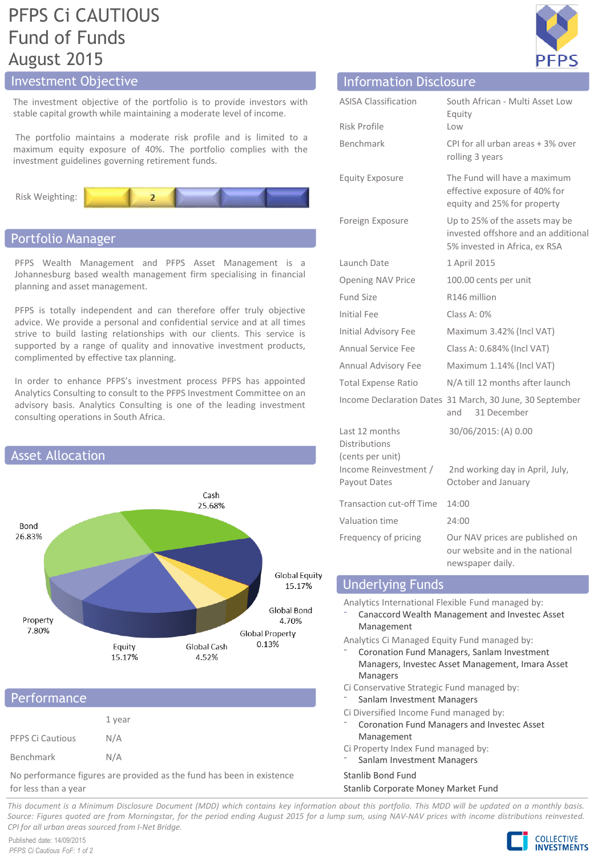# PFPS Ci CAUTIOUS Fund of Funds August 2015

# Investment Objective

The investment objective of the portfolio is to provide investors with stable capital growth while maintaining a moderate level of income.

The portfolio maintains a moderate risk profile and is limited to a maximum equity exposure of 40%. The portfolio complies with the investment guidelines governing retirement funds.



# Portfolio Manager

PFPS Wealth Management and PFPS Asset Management is a Johannesburg based wealth management firm specialising in financial planning and asset management.

PFPS is totally independent and can therefore offer truly objective advice. We provide a personal and confidential service and at all times strive to build lasting relationships with our clients. This service is supported by a range of quality and innovative investment products, complimented by effective tax planning.

In order to enhance PFPS's investment process PFPS has appointed Analytics Consulting to consult to the PFPS Investment Committee on an advisory basis. Analytics Consulting is one of the leading investment consulting operations in South Africa.



# **Performance**

|                  | 1 year |
|------------------|--------|
| PFPS Ci Cautious | N/A    |
| Benchmark        | N/A    |

No performance figures are provided as the fund has been in existence for less than a year

| <b>Information Disclosure</b>                              |                                                                                                        |
|------------------------------------------------------------|--------------------------------------------------------------------------------------------------------|
| <b>ASISA Classification</b>                                | South African - Multi Asset Low<br>Equity                                                              |
| Risk Profile                                               | Low                                                                                                    |
| <b>Benchmark</b>                                           | CPI for all urban areas + 3% over<br>rolling 3 years                                                   |
| <b>Equity Exposure</b>                                     | The Fund will have a maximum<br>effective exposure of 40% for<br>equity and 25% for property           |
| Foreign Exposure                                           | Up to 25% of the assets may be<br>invested offshore and an additional<br>5% invested in Africa, ex RSA |
| Launch Date                                                | 1 April 2015                                                                                           |
| <b>Opening NAV Price</b>                                   | 100.00 cents per unit                                                                                  |
| <b>Fund Size</b>                                           | R146 million                                                                                           |
| Initial Fee                                                | Class A: 0%                                                                                            |
| Initial Advisory Fee                                       | Maximum 3.42% (Incl VAT)                                                                               |
| Annual Service Fee                                         | Class A: 0.684% (Incl VAT)                                                                             |
| Annual Advisory Fee                                        | Maximum 1.14% (Incl VAT)                                                                               |
| <b>Total Expense Ratio</b>                                 | N/A till 12 months after launch                                                                        |
|                                                            | Income Declaration Dates 31 March, 30 June, 30 September<br>31 December<br>and                         |
| Last 12 months<br><b>Distributions</b><br>(cents per unit) | 30/06/2015: (A) 0.00                                                                                   |
| Income Reinvestment /<br>Payout Dates                      | 2nd working day in April, July,<br>October and January                                                 |
| <b>Transaction cut-off Time</b>                            | 14:00                                                                                                  |
| Valuation time                                             | 24:00                                                                                                  |
| Frequency of pricing                                       | Our NAV prices are published on<br>our website and in the national<br>newspaper daily.                 |

# Underlying Funds

Analytics International Flexible Fund managed by:

⁻ Canaccord Wealth Management and Investec Asset Management

Analytics Ci Managed Equity Fund managed by: ⁻ Coronation Fund Managers, Sanlam Investment

- Managers, Investec Asset Management, Imara Asset Managers
- Ci Conservative Strategic Fund managed by:
- Sanlam Investment Managers
- Ci Diversified Income Fund managed by:
- ⁻ Coronation Fund Managers and Investec Asset Management
- Ci Property Index Fund managed by:
	- Sanlam Investment Managers

### Stanlib Bond Fund

#### Stanlib Corporate Money Market Fund

This document is a Minimum Disclosure Document (MDD) which contains key information about this portfolio. This MDD will be updated on a monthly basis. Source: Figures quoted are from Morningstar, for the period ending August 2015 for a lump sum, using NAV-NAV prices with income distributions reinvested. *CPI for all urban areas sourced from I-Net Bridge.*